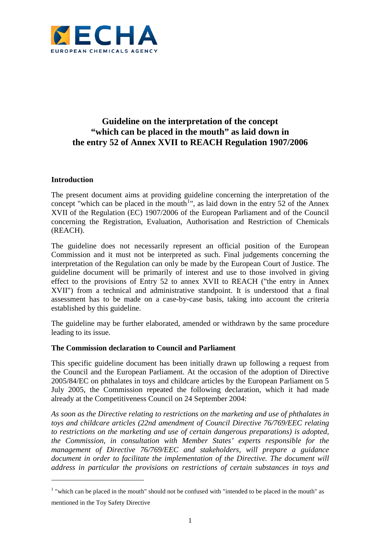

# **Guideline on the interpretation of the concept "which can be placed in the mouth" as laid down in the entry 52 of Annex XVII to REACH Regulation 1907/2006**

## **Introduction**

 $\overline{a}$ 

The present document aims at providing guideline concerning the interpretation of the concept "which can be placed in the mouth<sup>[1](#page-0-0)</sup>", as laid down in the entry 52 of the Annex XVII of the Regulation (EC) 1907/2006 of the European Parliament and of the Council concerning the Registration, Evaluation, Authorisation and Restriction of Chemicals (REACH).

The guideline does not necessarily represent an official position of the European Commission and it must not be interpreted as such. Final judgements concerning the interpretation of the Regulation can only be made by the European Court of Justice. The guideline document will be primarily of interest and use to those involved in giving effect to the provisions of Entry 52 to annex XVII to REACH ("the entry in Annex XVII") from a technical and administrative standpoint. It is understood that a final assessment has to be made on a case-by-case basis, taking into account the criteria established by this guideline.

The guideline may be further elaborated, amended or withdrawn by the same procedure leading to its issue.

#### **The Commission declaration to Council and Parliament**

This specific guideline document has been initially drawn up following a request from the Council and the European Parliament. At the occasion of the adoption of Directive 2005/84/EC on phthalates in toys and childcare articles by the European Parliament on 5 July 2005, the Commission repeated the following declaration, which it had made already at the Competitiveness Council on 24 September 2004:

*As soon as the Directive relating to restrictions on the marketing and use of phthalates in toys and childcare articles (22nd amendment of Council Directive 76/769/EEC relating to restrictions on the marketing and use of certain dangerous preparations) is adopted, the Commission, in consultation with Member States' experts responsible for the management of Directive 76/769/EEC and stakeholders, will prepare a guidance*  document in order to facilitate the implementation of the Directive. The document will *address in particular the provisions on restrictions of certain substances in toys and* 

<span id="page-0-0"></span><sup>&</sup>lt;sup>1</sup> "which can be placed in the mouth" should not be confused with "intended to be placed in the mouth" as mentioned in the Toy Safety Directive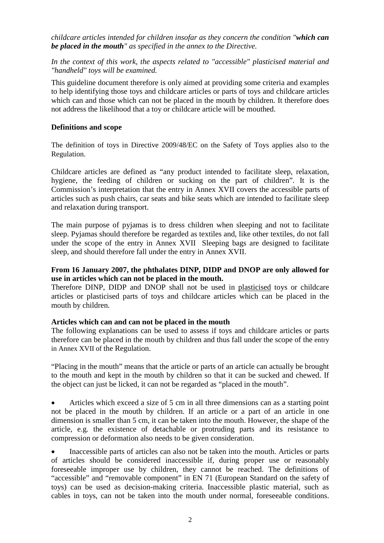*childcare articles intended for children insofar as they concern the condition "which can be placed in the mouth" as specified in the annex to the Directive.*

*In the context of this work, the aspects related to "accessible" plasticised material and "handheld" toys will be examined.*

This guideline document therefore is only aimed at providing some criteria and examples to help identifying those toys and childcare articles or parts of toys and childcare articles which can and those which can not be placed in the mouth by children. It therefore does not address the likelihood that a toy or childcare article will be mouthed.

#### **Definitions and scope**

The definition of toys in Directive 2009/48/EC on the Safety of Toys applies also to the Regulation.

Childcare articles are defined as "any product intended to facilitate sleep, relaxation, hygiene, the feeding of children or sucking on the part of children". It is the Commission's interpretation that the entry in Annex XVII covers the accessible parts of articles such as push chairs, car seats and bike seats which are intended to facilitate sleep and relaxation during transport.

The main purpose of pyjamas is to dress children when sleeping and not to facilitate sleep. Pyjamas should therefore be regarded as textiles and, like other textiles, do not fall under the scope of the entry in Annex XVII Sleeping bags are designed to facilitate sleep, and should therefore fall under the entry in Annex XVII.

## **From 16 January 2007, the phthalates DINP, DIDP and DNOP are only allowed for use in articles which can not be placed in the mouth.**

Therefore DINP, DIDP and DNOP shall not be used in plasticised toys or childcare articles or plasticised parts of toys and childcare articles which can be placed in the mouth by children.

#### **Articles which can and can not be placed in the mouth**

The following explanations can be used to assess if toys and childcare articles or parts therefore can be placed in the mouth by children and thus fall under the scope of the entry in Annex XVII of the Regulation.

"Placing in the mouth" means that the article or parts of an article can actually be brought to the mouth and kept in the mouth by children so that it can be sucked and chewed. If the object can just be licked, it can not be regarded as "placed in the mouth".

• Articles which exceed a size of 5 cm in all three dimensions can as a starting point not be placed in the mouth by children. If an article or a part of an article in one dimension is smaller than 5 cm, it can be taken into the mouth. However, the shape of the article, e.g. the existence of detachable or protruding parts and its resistance to compression or deformation also needs to be given consideration.

• Inaccessible parts of articles can also not be taken into the mouth. Articles or parts of articles should be considered inaccessible if, during proper use or reasonably foreseeable improper use by children, they cannot be reached. The definitions of "accessible" and "removable component" in EN 71 (European Standard on the safety of toys) can be used as decision-making criteria. Inaccessible plastic material, such as cables in toys, can not be taken into the mouth under normal, foreseeable conditions.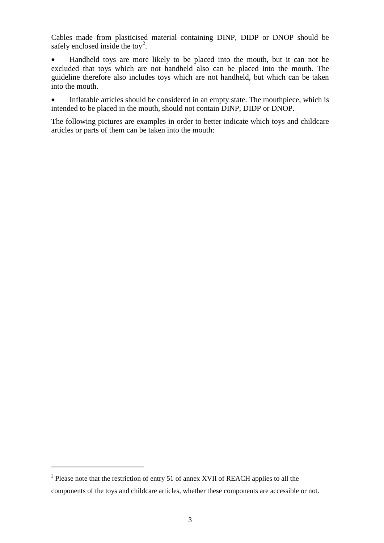Cables made from plasticised material containing DINP, DIDP or DNOP should be safely enclosed inside the toy<sup>[2](#page-2-0)</sup>.

• Handheld toys are more likely to be placed into the mouth, but it can not be excluded that toys which are not handheld also can be placed into the mouth. The guideline therefore also includes toys which are not handheld, but which can be taken into the mouth.

• Inflatable articles should be considered in an empty state. The mouthpiece, which is intended to be placed in the mouth, should not contain DINP, DIDP or DNOP.

The following pictures are examples in order to better indicate which toys and childcare articles or parts of them can be taken into the mouth:

 $\overline{a}$ 

<span id="page-2-0"></span><sup>&</sup>lt;sup>2</sup> Please note that the restriction of entry 51 of annex XVII of REACH applies to all the components of the toys and childcare articles, whether these components are accessible or not.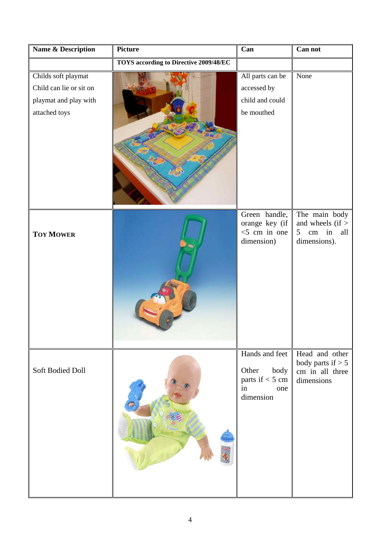| Name & Description      | <b>Picture</b>                                | Can                                | Can not                                                 |
|-------------------------|-----------------------------------------------|------------------------------------|---------------------------------------------------------|
|                         | <b>TOYS</b> according to Directive 2009/48/EC |                                    |                                                         |
| Childs soft playmat     |                                               | All parts can be                   | None                                                    |
| Child can lie or sit on |                                               | accessed by                        |                                                         |
| playmat and play with   |                                               | child and could                    |                                                         |
| attached toys           |                                               | be mouthed                         |                                                         |
|                         |                                               |                                    |                                                         |
|                         |                                               |                                    |                                                         |
|                         |                                               |                                    |                                                         |
|                         |                                               |                                    |                                                         |
|                         |                                               |                                    |                                                         |
|                         |                                               |                                    |                                                         |
|                         |                                               |                                    |                                                         |
|                         |                                               | Green handle,                      | The main body                                           |
| <b>TOY MOWER</b>        |                                               | orange key (if<br>$<$ 5 cm in one  | and wheels $(if >$<br>in<br>5<br>$\,\mathrm{cm}$<br>all |
|                         |                                               | dimension)                         | dimensions).                                            |
|                         |                                               |                                    |                                                         |
|                         |                                               |                                    |                                                         |
|                         |                                               |                                    |                                                         |
|                         |                                               |                                    |                                                         |
|                         |                                               |                                    |                                                         |
|                         |                                               |                                    |                                                         |
|                         |                                               |                                    |                                                         |
|                         |                                               | Hands and feet                     | Head and other                                          |
|                         |                                               |                                    | body parts if $> 5$                                     |
| Soft Bodied Doll        |                                               | Other<br>body<br>parts if $<$ 5 cm | cm in all three                                         |
|                         |                                               | in<br>one                          | dimensions                                              |
|                         |                                               | dimension                          |                                                         |
|                         |                                               |                                    |                                                         |
|                         |                                               |                                    |                                                         |
|                         |                                               |                                    |                                                         |
|                         |                                               |                                    |                                                         |
|                         |                                               |                                    |                                                         |
|                         |                                               |                                    |                                                         |
|                         |                                               |                                    |                                                         |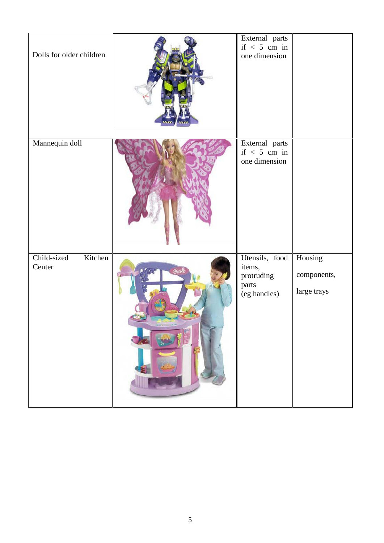| Dolls for older children         | External parts<br>if $< 5$ cm in<br>one dimension               |                                       |
|----------------------------------|-----------------------------------------------------------------|---------------------------------------|
| Mannequin doll                   | External parts<br>if $< 5$ cm in<br>one dimension               |                                       |
| Child-sized<br>Kitchen<br>Center | Utensils, food<br>items,<br>protruding<br>parts<br>(eg handles) | Housing<br>components,<br>large trays |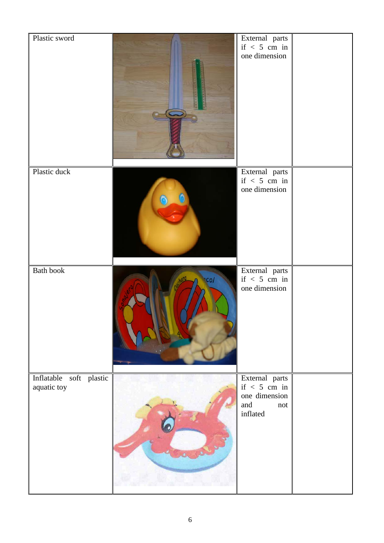| Plastic sword                          |      | External parts<br>if $< 5$ cm in<br>one dimension                           |  |
|----------------------------------------|------|-----------------------------------------------------------------------------|--|
| Plastic duck                           |      | External parts<br>if $< 5$ cm in<br>one dimension                           |  |
| Bath book                              | ncol | External parts<br>if $< 5$ cm in<br>one dimension                           |  |
| Inflatable soft plastic<br>aquatic toy |      | External parts<br>if $< 5$ cm in<br>one dimension<br>and<br>not<br>inflated |  |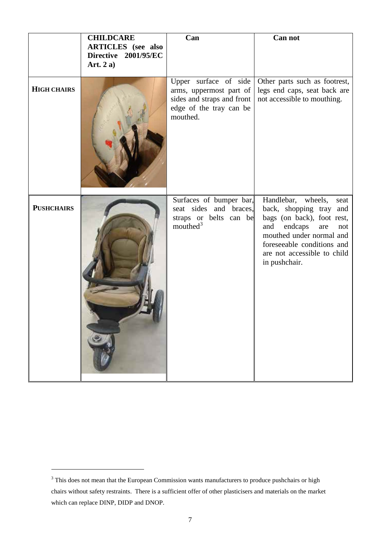|                    | <b>CHILDCARE</b><br><b>ARTICLES</b> (see also<br>Directive 2001/95/EC<br>Art. $2a)$ | Can                                                                                                                   | Can not                                                                                                                                                                                                                          |
|--------------------|-------------------------------------------------------------------------------------|-----------------------------------------------------------------------------------------------------------------------|----------------------------------------------------------------------------------------------------------------------------------------------------------------------------------------------------------------------------------|
| <b>HIGH CHAIRS</b> |                                                                                     | Upper surface of side<br>arms, uppermost part of<br>sides and straps and front<br>edge of the tray can be<br>mouthed. | Other parts such as footrest,<br>legs end caps, seat back are<br>not accessible to mouthing.                                                                                                                                     |
| <b>PUSHCHAIRS</b>  |                                                                                     | Surfaces of bumper bar,<br>seat sides and braces,<br>straps or belts can be<br>mouthed <sup>3</sup>                   | Handlebar,<br>wheels,<br>seat<br>back, shopping tray and<br>bags (on back), foot rest,<br>endcaps<br>and<br>are<br>not<br>mouthed under normal and<br>foreseeable conditions and<br>are not accessible to child<br>in pushchair. |

 $\overline{a}$ 

<span id="page-6-0"></span><sup>&</sup>lt;sup>3</sup> This does not mean that the European Commission wants manufacturers to produce pushchairs or high chairs without safety restraints. There is a sufficient offer of other plasticisers and materials on the market which can replace DINP, DIDP and DNOP.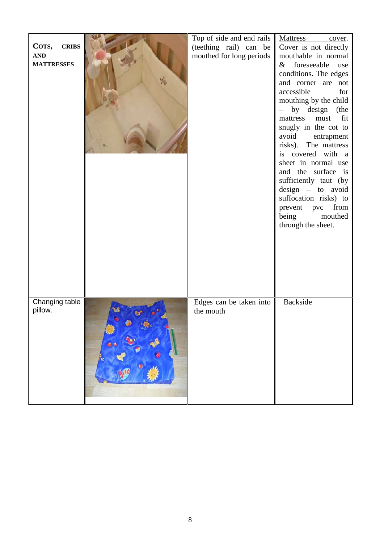|                       | Top of side and end rails | <b>Mattress</b><br>cover.               |
|-----------------------|---------------------------|-----------------------------------------|
| <b>CRIBS</b><br>COTS, | (teething rail) can be    | Cover is not directly                   |
| <b>AND</b>            | mouthed for long periods  | mouthable in normal                     |
| <b>MATTRESSES</b>     |                           | & foreseeable<br>use                    |
|                       |                           | conditions. The edges                   |
|                       |                           | and corner are not                      |
|                       |                           | accessible<br>for                       |
|                       |                           | mouthing by the child                   |
|                       |                           | by design (the<br>$\frac{1}{2}$         |
|                       |                           | fit<br>mattress<br>must                 |
|                       |                           | snugly in the cot to                    |
|                       |                           | avoid<br>entrapment                     |
|                       |                           | risks).<br>The mattress                 |
|                       |                           | is covered with $a \parallel$           |
|                       |                           | sheet in normal use                     |
|                       |                           | and the surface is                      |
|                       |                           | sufficiently taut (by $\vert$           |
|                       |                           | $design - to avoid$                     |
|                       |                           | suffocation risks) to                   |
|                       |                           | from<br>prevent pvc<br>being<br>mouthed |
|                       |                           | through the sheet.                      |
|                       |                           |                                         |
|                       |                           |                                         |
|                       |                           |                                         |
|                       |                           |                                         |
|                       |                           |                                         |
|                       |                           |                                         |
|                       |                           |                                         |
|                       |                           |                                         |
| Changing table        | Edges can be taken into   | Backside                                |
| pillow.               | the mouth                 |                                         |
|                       |                           |                                         |
|                       |                           |                                         |
|                       |                           |                                         |
|                       |                           |                                         |
|                       |                           |                                         |
|                       |                           |                                         |
|                       |                           |                                         |
|                       |                           |                                         |
|                       |                           |                                         |
|                       |                           |                                         |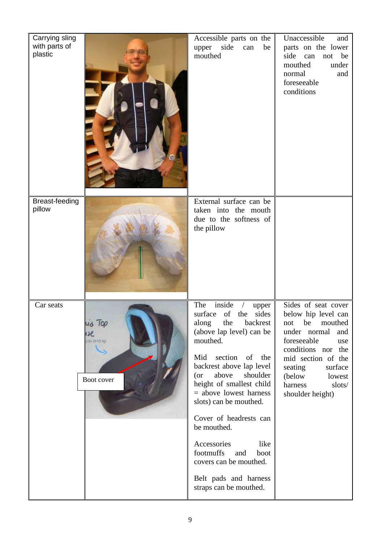| Carrying sling<br>with parts of<br>plastic          | Accessible parts on the<br>side<br>be<br>upper<br>can<br>mouthed                                                                                                                                                                                                                                                                                                                                                                                                     | Unaccessible<br>and<br>parts on the lower<br>side<br>can<br>be<br>not<br>mouthed<br>under<br>normal<br>and<br>foreseeable<br>conditions                                                                                                        |
|-----------------------------------------------------|----------------------------------------------------------------------------------------------------------------------------------------------------------------------------------------------------------------------------------------------------------------------------------------------------------------------------------------------------------------------------------------------------------------------------------------------------------------------|------------------------------------------------------------------------------------------------------------------------------------------------------------------------------------------------------------------------------------------------|
| <b>Breast-feeding</b><br>pillow                     | External surface can be<br>taken into the mouth<br>due to the softness of<br>the pillow                                                                                                                                                                                                                                                                                                                                                                              |                                                                                                                                                                                                                                                |
| Car seats<br>IQP<br>$0 + (0 - 13$ kg)<br>Boot cover | inside<br>The<br>upper<br>surface<br>of<br>sides<br>the<br>along<br>the<br>backrest<br>(above lap level) can be<br>mouthed.<br>Mid section of the<br>backrest above lap level<br>above<br>(or<br>shoulder<br>height of smallest child<br>$=$ above lowest harness<br>slots) can be mouthed.<br>Cover of headrests can<br>be mouthed.<br>Accessories<br>like<br>footmuffs<br>and<br>boot<br>covers can be mouthed.<br>Belt pads and harness<br>straps can be mouthed. | Sides of seat cover<br>below hip level can<br>not<br>be<br>mouthed<br>under normal<br>and<br>foreseeable<br>use<br>conditions nor the<br>mid section of the<br>seating<br>surface<br>(below<br>lowest<br>harness<br>slots/<br>shoulder height) |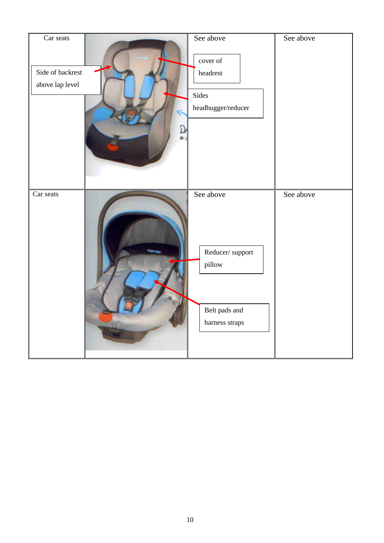| Car seats<br>Side of backrest<br>above lap level |              | See above<br>cover of<br>headrest<br>Sides<br>$\emph{head} \emph{hugger/reducer}$ | See above |
|--------------------------------------------------|--------------|-----------------------------------------------------------------------------------|-----------|
|                                                  |              |                                                                                   |           |
| Car seats                                        | <b>YOFSE</b> | See above<br>Reducer/support<br>pillow                                            | See above |
|                                                  |              | Belt pads and<br>harness straps                                                   |           |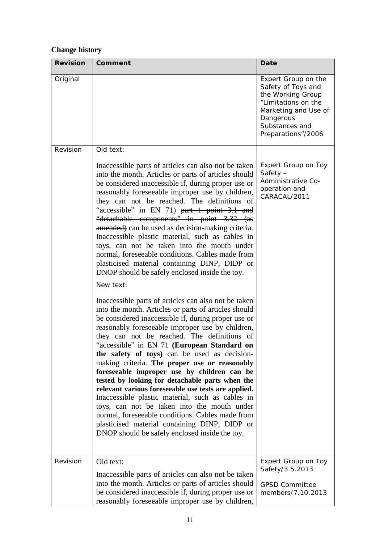# **Change history**

| <b>Revision</b> | Comment                                                                                                                                                                                                                                                                                                                                                                                                                                                                                                                                                                                                                                                                                                                                                                                                                                   | Date                                                                                                                                                               |
|-----------------|-------------------------------------------------------------------------------------------------------------------------------------------------------------------------------------------------------------------------------------------------------------------------------------------------------------------------------------------------------------------------------------------------------------------------------------------------------------------------------------------------------------------------------------------------------------------------------------------------------------------------------------------------------------------------------------------------------------------------------------------------------------------------------------------------------------------------------------------|--------------------------------------------------------------------------------------------------------------------------------------------------------------------|
| Original        |                                                                                                                                                                                                                                                                                                                                                                                                                                                                                                                                                                                                                                                                                                                                                                                                                                           | Expert Group on the<br>Safety of Toys and<br>the Working Group<br>"Limitations on the<br>Marketing and Use of<br>Dangerous<br>Substances and<br>Preparations"/2006 |
| Revision        | Old text:                                                                                                                                                                                                                                                                                                                                                                                                                                                                                                                                                                                                                                                                                                                                                                                                                                 |                                                                                                                                                                    |
|                 | Inaccessible parts of articles can also not be taken<br>into the month. Articles or parts of articles should<br>be considered inaccessible if, during proper use or<br>reasonably foreseeable improper use by children,<br>they can not be reached. The definitions of<br>"accessible" in EN 71) part 1 point 3.1 and<br>"detachable components" in point 3.32 (as<br>amended) can be used as decision-making criteria.<br>Inaccessible plastic material, such as cables in<br>toys, can not be taken into the mouth under<br>normal, foreseeable conditions. Cables made from<br>plasticised material containing DINP, DIDP or<br>DNOP should be safely enclosed inside the toy.<br>New text:                                                                                                                                            | Expert Group on Toy<br>Safety $-$<br>Administrative Co-<br>operation and<br>CARACAL/2011                                                                           |
|                 | Inaccessible parts of articles can also not be taken<br>into the month. Articles or parts of articles should<br>be considered inaccessible if, during proper use or<br>reasonably foreseeable improper use by children,<br>they can not be reached. The definitions of<br>"accessible" in EN 71 (European Standard on<br>the safety of toys) can be used as decision-<br>making criteria. The proper use or reasonably<br>foreseeable improper use by children can be<br>tested by looking for detachable parts when the<br>relevant various foreseeable use tests are applied.<br>Inaccessible plastic material, such as cables in<br>toys, can not be taken into the mouth under<br>normal, foreseeable conditions. Cables made from<br>plasticised material containing DINP, DIDP or<br>DNOP should be safely enclosed inside the toy. |                                                                                                                                                                    |
| Revision        | Old text:<br>Inaccessible parts of articles can also not be taken<br>into the month. Articles or parts of articles should<br>be considered inaccessible if, during proper use or<br>reasonably foreseeable improper use by children,                                                                                                                                                                                                                                                                                                                                                                                                                                                                                                                                                                                                      | Expert Group on Toy<br>Safety/3.5.2013<br><b>GPSD Committee</b><br>members/7.10.2013                                                                               |